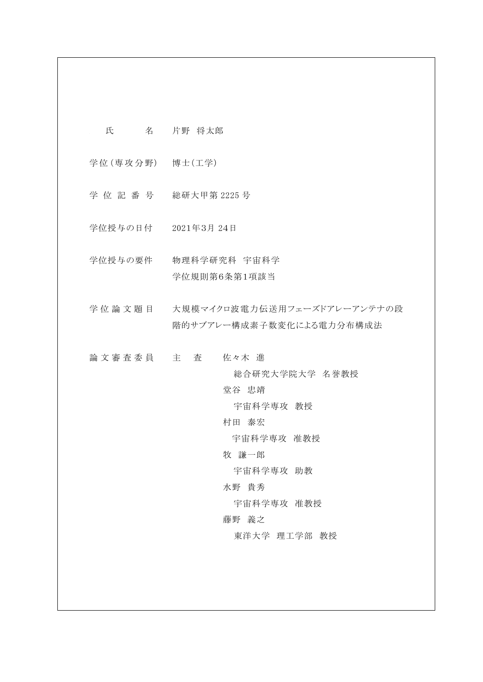- *<sup>R</sup>* 氏 名 片野 将太郎
- 学位 (専攻分野) 博士 (工学)
- 学 位 記 番 号 総研大甲第 2225 号
- 学位授与の日付 2021年3月 24日
- 学位授与の要件 物理科学研究科 宇宙科学 学位規則第6条第1項該当
- 学位論文題目 大規模マイクロ波電力伝送用フェーズドアレーアンテナの段 階的サブアレー構成素子数変化による電力分布構成法
- 論文審査委員 主 査 佐々木 進

総合研究大学院大学 名誉教授

堂谷 忠靖

宇宙科学専攻 教授

村田 泰宏

宇宙科学専攻 准教授

牧 謙一郎

宇宙科学専攻 助教

水野 貴秀

宇宙科学専攻 准教授

藤野 義之

東洋大学 理工学部 教授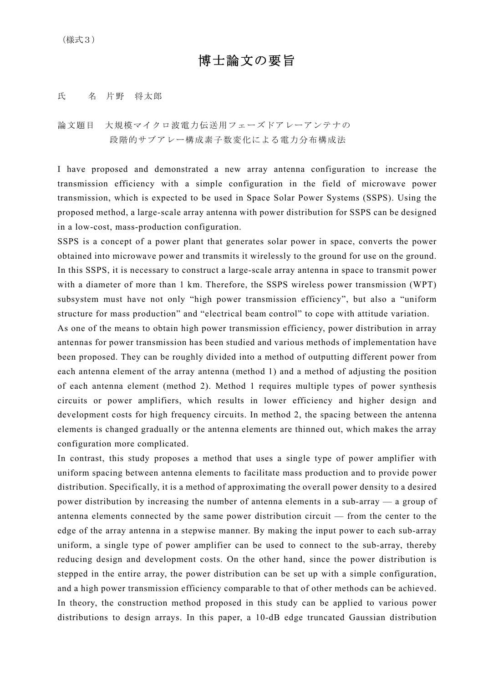## 博士論文の要旨

## 氏 名 片野 将太郎

論文題目 大規模マイクロ波電力伝送用フェーズドアレーアンテナの 段階的サブアレー構成素子数変化による電力分布構成法

I have proposed and demonstrated a new array antenna configuration to increase the transmission efficiency with a simple configuration in the field of microwave power transmission, which is expected to be used in Space Solar Power Systems (SSPS). Using the proposed method, a large-scale array antenna with power distribution for SSPS can be designed in a low-cost, mass-production configuration.

SSPS is a concept of a power plant that generates solar power in space, converts the power obtained into microwave power and transmits it wirelessly to the ground for use on the ground. In this SSPS, it is necessary to construct a large-scale array antenna in space to transmit power with a diameter of more than 1 km. Therefore, the SSPS wireless power transmission (WPT) subsystem must have not only "high power transmission efficiency", but also a "uniform structure for mass production" and "electrical beam control" to cope with attitude variation.

As one of the means to obtain high power transmission efficiency, power distribution in array antennas for power transmission has been studied and various methods of implementation have been proposed. They can be roughly divided into a method of outputting different power from each antenna element of the array antenna (method 1) and a method of adjusting the position of each antenna element (method 2). Method 1 requires multiple types of power synthesis circuits or power amplifiers, which results in lower efficiency and higher design and development costs for high frequency circuits. In method 2, the spacing between the antenna elements is changed gradually or the antenna elements are thinned out, which makes the array configuration more complicated.

In contrast, this study proposes a method that uses a single type of power amplifier with uniform spacing between antenna elements to facilitate mass production and to provide power distribution. Specifically, it is a method of approximating the overall power density to a desired power distribution by increasing the number of antenna elements in a sub-array — a group of antenna elements connected by the same power distribution circuit — from the center to the edge of the array antenna in a stepwise manner. By making the input power to each sub-array uniform, a single type of power amplifier can be used to connect to the sub-array, thereby reducing design and development costs. On the other hand, since the power distribution is stepped in the entire array, the power distribution can be set up with a simple configuration, and a high power transmission efficiency comparable to that of other methods can be achieved. In theory, the construction method proposed in this study can be applied to various power distributions to design arrays. In this paper, a 10-dB edge truncated Gaussian distribution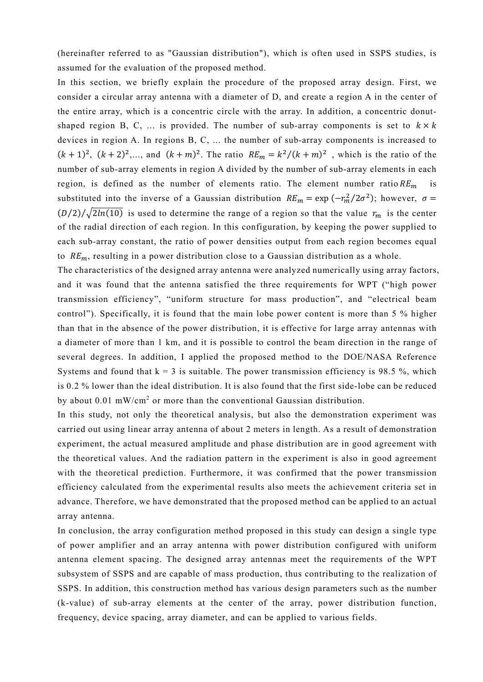(hereinafter referred to as "Gaussian distribution"), which is often used in SSPS studies, is assumed for the evaluation of the proposed method.

In this section, we briefly explain the procedure of the proposed array design. First, we consider a circular array antenna with a diameter of D, and create a region A in the center of the entire array, which is a concentric circle with the array. In addition, a concentric donutshaped region B, C, ... is provided. The number of sub-array components is set to  $k \times k$ devices in region A. In regions B, C, ... the number of sub-array components is increased to  $(k + 1)^2$ ,  $(k + 2)^2$ ,..., and  $(k + m)^2$ . The ratio  $RE_m = k^2/(k + m)^2$ , which is the ratio of the number of sub-array elements in region A divided by the number of sub-array elements in each region, is defined as the number of elements ratio. The element number ratio  $RE_m$ substituted into the inverse of a Gaussian distribution  $RE_m = \exp(-\frac{r_m^2}{2\sigma^2})$ ; however,  $\sigma =$  $(D/2)/\sqrt{2ln(10)}$  is used to determine the range of a region so that the value  $r_m$  is the center of the radial direction of each region. In this configuration, by keeping the power supplied to each sub-array constant, the ratio of power densities output from each region becomes equal to  $RE_m$ , resulting in a power distribution close to a Gaussian distribution as a whole.

The characteristics of the designed array antenna were analyzed numerically using array factors, and it was found that the antenna satisfied the three requirements for WPT ("high power transmission efficiency", "uniform structure for mass production", and "electrical beam control"). Specifically, it is found that the main lobe power content is more than 5 % higher than that in the absence of the power distribution, it is effective for large array antennas with a diameter of more than 1 km, and it is possible to control the beam direction in the range of several degrees. In addition, I applied the proposed method to the DOE/NASA Reference Systems and found that  $k = 3$  is suitable. The power transmission efficiency is 98.5 %, which is 0.2 % lower than the ideal distribution. It is also found that the first side-lobe can be reduced by about  $0.01$  mW/cm<sup>2</sup> or more than the conventional Gaussian distribution.

In this study, not only the theoretical analysis, but also the demonstration experiment was carried out using linear array antenna of about 2 meters in length. As a result of demonstration experiment, the actual measured amplitude and phase distribution are in good agreement with the theoretical values. And the radiation pattern in the experiment is also in good agreement with the theoretical prediction. Furthermore, it was confirmed that the power transmission efficiency calculated from the experimental results also meets the achievement criteria set in advance. Therefore, we have demonstrated that the proposed method can be applied to an actual array antenna.

In conclusion, the array configuration method proposed in this study can design a single type of power amplifier and an array antenna with power distribution configured with uniform antenna element spacing. The designed array antennas meet the requirements of the WPT subsystem of SSPS and are capable of mass production, thus contributing to the realization of SSPS. In addition, this construction method has various design parameters such as the number (k-value) of sub-array elements at the center of the array, power distribution function, frequency, device spacing, array diameter, and can be applied to various fields.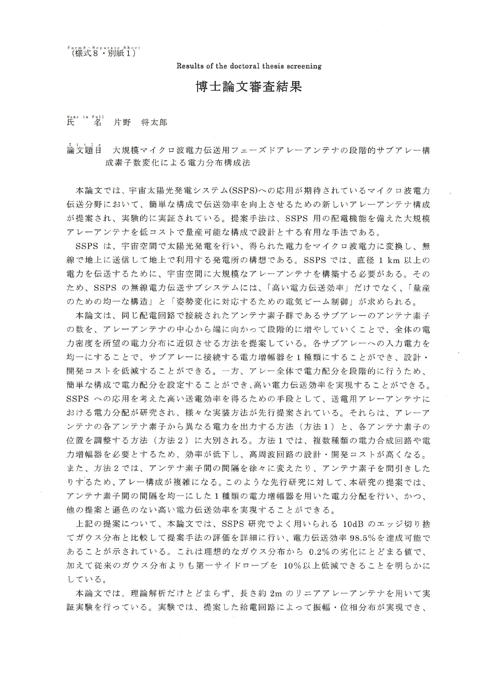$\left[ \begin{smallmatrix} 6 & 1 & 8 & 8 & 8 & 9 & 1 & 1 & 1 \ 1 & 1 & 1 & 1 & 1 \end{smallmatrix} \right]$ 

Results of the doctoral thesis screening

## 博士論文審杳結果

## Kame in Full<br>氏 名 片野 将太郎

☆☆ 崩自 大規模マイクロ波電力伝送用フェーズドアレーアンテナの段階的サブアレー構 成素子数変化による電力分布構成法

本論文では、宇宙太陽光発電システム(SSPS)への応用が期待されているマイクロ波電力 伝送分野において、簡単な構成で伝送効率を向上させるための新しいアレーアンテナ構成 が提案され、実験的に実証されている。提案手法は、SSPS 用の配電機能を備えた大規模 アレーアンテナを低コストで量産可能な構成で設計とする有用な手法である。

SSPS は、宇宙空間で太陽光発電を行い、得られた電力をマイクロ波電力に変換し、無 線で地上に送信して地上で利用する発電所の構想である。SSPS では、直径 1 km 以上の 電力を伝送するために、宇宙空間に大規模なアレーアンテナを構築する必要がある。その ため、SSPS の無線電力伝送サブシステムには、「高い電力伝送効率」だけでなく、「量産 のための均一な構造」と「姿勢変化に対応するための電気ビーム制御」が求められる。

本論文は、同じ配電回路で接続されたアンテナ素子群であるサブアレーのアンテナ素子 の数を、アレーアンテナの中心から端に向かって段階的に増やしていくことで、全体の電 力密度を所望の電力分布に近似させる方法を提案している。各サブアレーへの入力電力を 均一にすることで、サブアレーに接続する電力増幅器を1種類にすることができ、設計・ 開発コストを低減することができる。一方、アレー全体で電力配分を段階的に行うため、 簡単な構成で電力配分を設定することができ、高い電力伝送効率を実現することができる。 SSPS への応用を考えた高い送電効率を得るための手段として、送電用アレーアンテナに おける電力分配が研究され、様々な実装方法が先行提案されている。それらは、アレーア ンテナの各アンテナ素子から異なる電力を出力する方法 (方法1) と、各アンテナ素子の 位置を調整する方法(方法2)に大別される。方法1では、複数種類の電力合成回路や電 力増幅器を必要とするため、効率が低下し、高周波回路の設計・開発コストが高くなる。 また、方法2では、アンテナ素子間の間隔を徐々に変えたり、アンテナ素子を間引きした りするため、アレー構成が複雑になる。このような先行研究に対して、本研究の提案では、 アンテナ素子間の間隔を均一にした1種類の電力増幅器を用いた電力分配を行い、かつ、 他の提案と遜色のない高い電力伝送効率を実現することができる。

上記の提案について、本論文では、SSPS 研究でよく用いられる 10dB のエッジ切り捨 てガウス分布と比較して提案手法の評価を詳細に行い、電力伝送効率98.5%を達成可能で あることが示されている。これは理想的なガウス分布から 0.2%の劣化にとどまる値で、 加えて従来のガウス分布よりも第一サイドローブを 10%以上低減できることを明らかに している。

本論文では、理論解析だけとどまらず、長さ約 2m のリニアアレーアンテナを用いて実 証実験を行っている。実験では、提案した給電回路によって振幅・位相分布が実現でき、